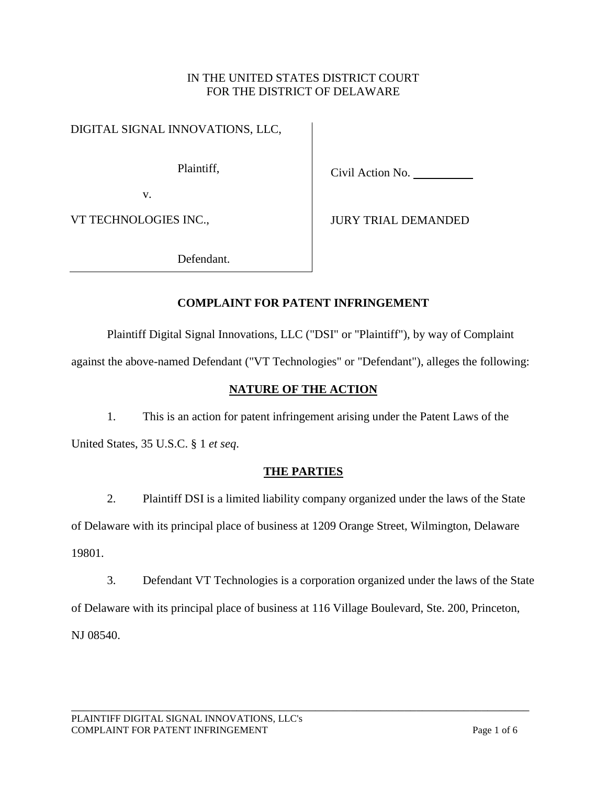### IN THE UNITED STATES DISTRICT COURT FOR THE DISTRICT OF DELAWARE

DIGITAL SIGNAL INNOVATIONS, LLC,

Plaintiff,

Civil Action No.

v.

VT TECHNOLOGIES INC.,

JURY TRIAL DEMANDED

Defendant.

# **COMPLAINT FOR PATENT INFRINGEMENT**

Plaintiff Digital Signal Innovations, LLC ("DSI" or "Plaintiff"), by way of Complaint

against the above-named Defendant ("VT Technologies" or "Defendant"), alleges the following:

# **NATURE OF THE ACTION**

1. This is an action for patent infringement arising under the Patent Laws of the United States, 35 U.S.C. § 1 *et seq*.

# **THE PARTIES**

2. Plaintiff DSI is a limited liability company organized under the laws of the State of Delaware with its principal place of business at 1209 Orange Street, Wilmington, Delaware 19801.

3. Defendant VT Technologies is a corporation organized under the laws of the State of Delaware with its principal place of business at 116 Village Boulevard, Ste. 200, Princeton, NJ 08540.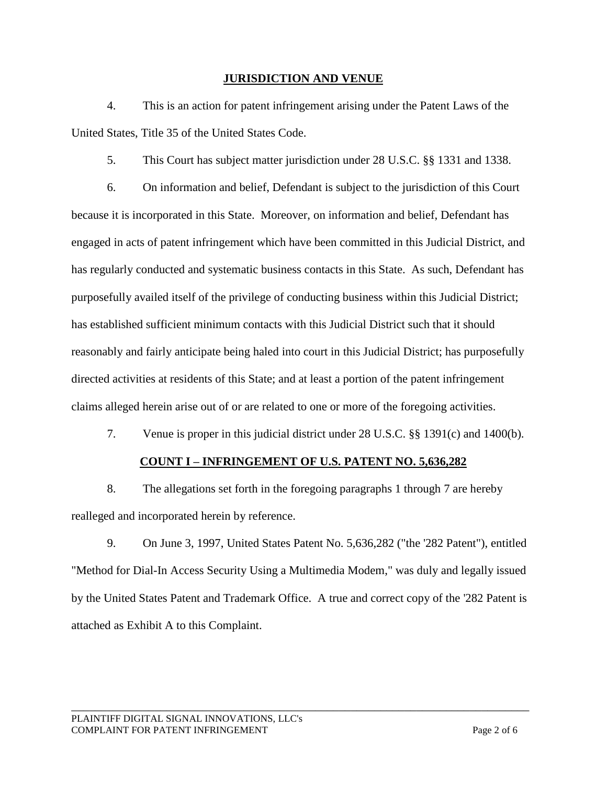#### **JURISDICTION AND VENUE**

4. This is an action for patent infringement arising under the Patent Laws of the United States, Title 35 of the United States Code.

5. This Court has subject matter jurisdiction under 28 U.S.C. §§ 1331 and 1338.

6. On information and belief, Defendant is subject to the jurisdiction of this Court because it is incorporated in this State. Moreover, on information and belief, Defendant has engaged in acts of patent infringement which have been committed in this Judicial District, and has regularly conducted and systematic business contacts in this State. As such, Defendant has purposefully availed itself of the privilege of conducting business within this Judicial District; has established sufficient minimum contacts with this Judicial District such that it should reasonably and fairly anticipate being haled into court in this Judicial District; has purposefully directed activities at residents of this State; and at least a portion of the patent infringement claims alleged herein arise out of or are related to one or more of the foregoing activities.

7. Venue is proper in this judicial district under 28 U.S.C. §§ 1391(c) and 1400(b).

### **COUNT I – INFRINGEMENT OF U.S. PATENT NO. 5,636,282**

8. The allegations set forth in the foregoing paragraphs 1 through 7 are hereby realleged and incorporated herein by reference.

9. On June 3, 1997, United States Patent No. 5,636,282 ("the '282 Patent"), entitled "Method for Dial-In Access Security Using a Multimedia Modem," was duly and legally issued by the United States Patent and Trademark Office. A true and correct copy of the '282 Patent is attached as Exhibit A to this Complaint.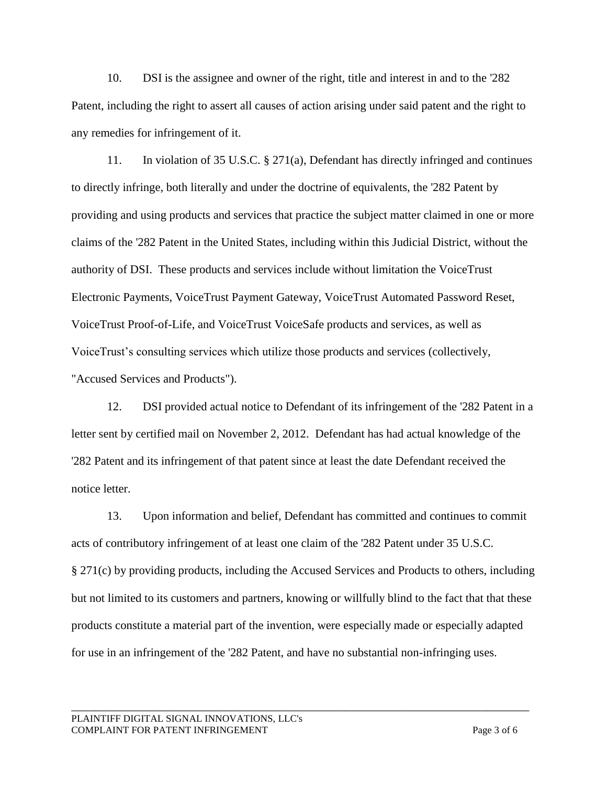10. DSI is the assignee and owner of the right, title and interest in and to the '282 Patent, including the right to assert all causes of action arising under said patent and the right to any remedies for infringement of it.

11. In violation of 35 U.S.C. § 271(a), Defendant has directly infringed and continues to directly infringe, both literally and under the doctrine of equivalents, the '282 Patent by providing and using products and services that practice the subject matter claimed in one or more claims of the '282 Patent in the United States, including within this Judicial District, without the authority of DSI. These products and services include without limitation the VoiceTrust Electronic Payments, VoiceTrust Payment Gateway, VoiceTrust Automated Password Reset, VoiceTrust Proof-of-Life, and VoiceTrust VoiceSafe products and services, as well as VoiceTrust's consulting services which utilize those products and services (collectively, "Accused Services and Products").

12. DSI provided actual notice to Defendant of its infringement of the '282 Patent in a letter sent by certified mail on November 2, 2012. Defendant has had actual knowledge of the '282 Patent and its infringement of that patent since at least the date Defendant received the notice letter.

13. Upon information and belief, Defendant has committed and continues to commit acts of contributory infringement of at least one claim of the '282 Patent under 35 U.S.C. § 271(c) by providing products, including the Accused Services and Products to others, including but not limited to its customers and partners, knowing or willfully blind to the fact that that these products constitute a material part of the invention, were especially made or especially adapted for use in an infringement of the '282 Patent, and have no substantial non-infringing uses.

\_\_\_\_\_\_\_\_\_\_\_\_\_\_\_\_\_\_\_\_\_\_\_\_\_\_\_\_\_\_\_\_\_\_\_\_\_\_\_\_\_\_\_\_\_\_\_\_\_\_\_\_\_\_\_\_\_\_\_\_\_\_\_\_\_\_\_\_\_\_\_\_\_\_\_\_\_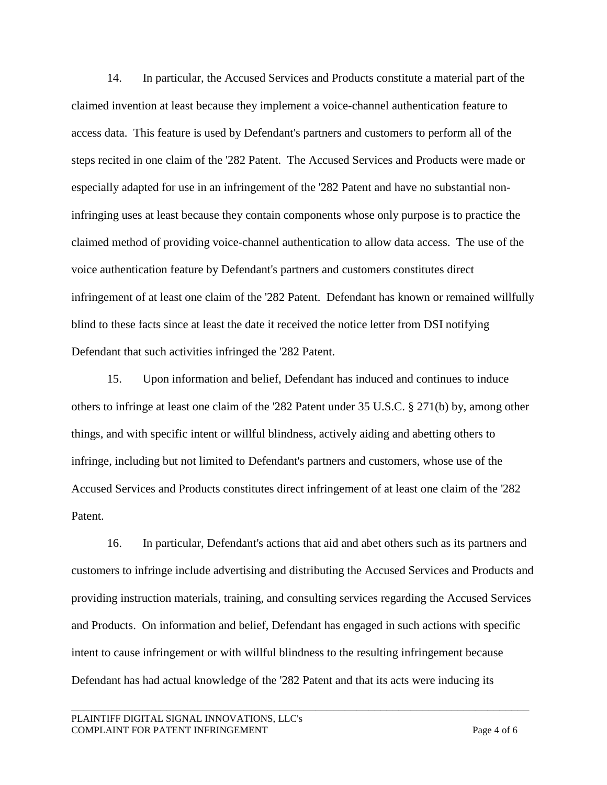14. In particular, the Accused Services and Products constitute a material part of the claimed invention at least because they implement a voice-channel authentication feature to access data. This feature is used by Defendant's partners and customers to perform all of the steps recited in one claim of the '282 Patent. The Accused Services and Products were made or especially adapted for use in an infringement of the '282 Patent and have no substantial noninfringing uses at least because they contain components whose only purpose is to practice the claimed method of providing voice-channel authentication to allow data access. The use of the voice authentication feature by Defendant's partners and customers constitutes direct infringement of at least one claim of the '282 Patent. Defendant has known or remained willfully blind to these facts since at least the date it received the notice letter from DSI notifying Defendant that such activities infringed the '282 Patent.

15. Upon information and belief, Defendant has induced and continues to induce others to infringe at least one claim of the '282 Patent under 35 U.S.C. § 271(b) by, among other things, and with specific intent or willful blindness, actively aiding and abetting others to infringe, including but not limited to Defendant's partners and customers, whose use of the Accused Services and Products constitutes direct infringement of at least one claim of the '282 Patent.

16. In particular, Defendant's actions that aid and abet others such as its partners and customers to infringe include advertising and distributing the Accused Services and Products and providing instruction materials, training, and consulting services regarding the Accused Services and Products. On information and belief, Defendant has engaged in such actions with specific intent to cause infringement or with willful blindness to the resulting infringement because Defendant has had actual knowledge of the '282 Patent and that its acts were inducing its

\_\_\_\_\_\_\_\_\_\_\_\_\_\_\_\_\_\_\_\_\_\_\_\_\_\_\_\_\_\_\_\_\_\_\_\_\_\_\_\_\_\_\_\_\_\_\_\_\_\_\_\_\_\_\_\_\_\_\_\_\_\_\_\_\_\_\_\_\_\_\_\_\_\_\_\_\_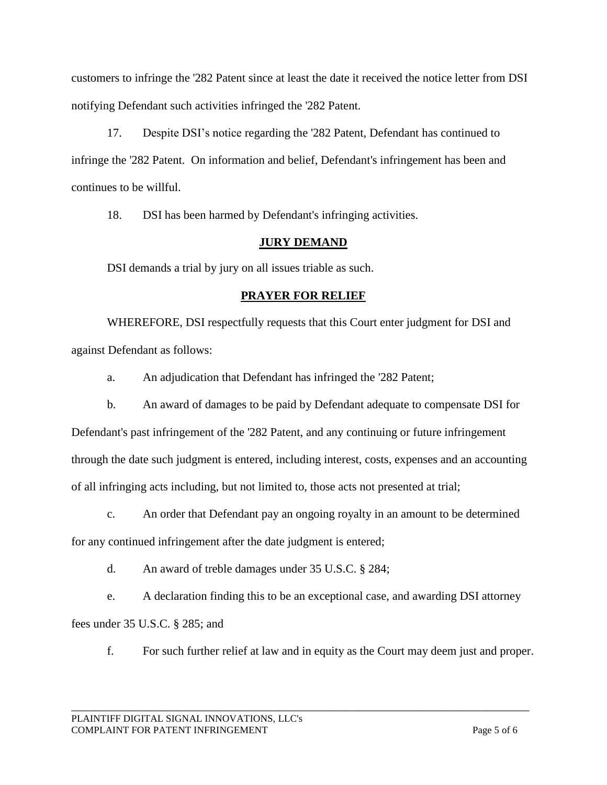customers to infringe the '282 Patent since at least the date it received the notice letter from DSI notifying Defendant such activities infringed the '282 Patent.

17. Despite DSI's notice regarding the '282 Patent, Defendant has continued to infringe the '282 Patent. On information and belief, Defendant's infringement has been and continues to be willful.

18. DSI has been harmed by Defendant's infringing activities.

## **JURY DEMAND**

DSI demands a trial by jury on all issues triable as such.

## **PRAYER FOR RELIEF**

WHEREFORE, DSI respectfully requests that this Court enter judgment for DSI and against Defendant as follows:

a. An adjudication that Defendant has infringed the '282 Patent;

b. An award of damages to be paid by Defendant adequate to compensate DSI for Defendant's past infringement of the '282 Patent, and any continuing or future infringement through the date such judgment is entered, including interest, costs, expenses and an accounting of all infringing acts including, but not limited to, those acts not presented at trial;

c. An order that Defendant pay an ongoing royalty in an amount to be determined

for any continued infringement after the date judgment is entered;

d. An award of treble damages under 35 U.S.C. § 284;

e. A declaration finding this to be an exceptional case, and awarding DSI attorney fees under 35 U.S.C. § 285; and

f. For such further relief at law and in equity as the Court may deem just and proper.